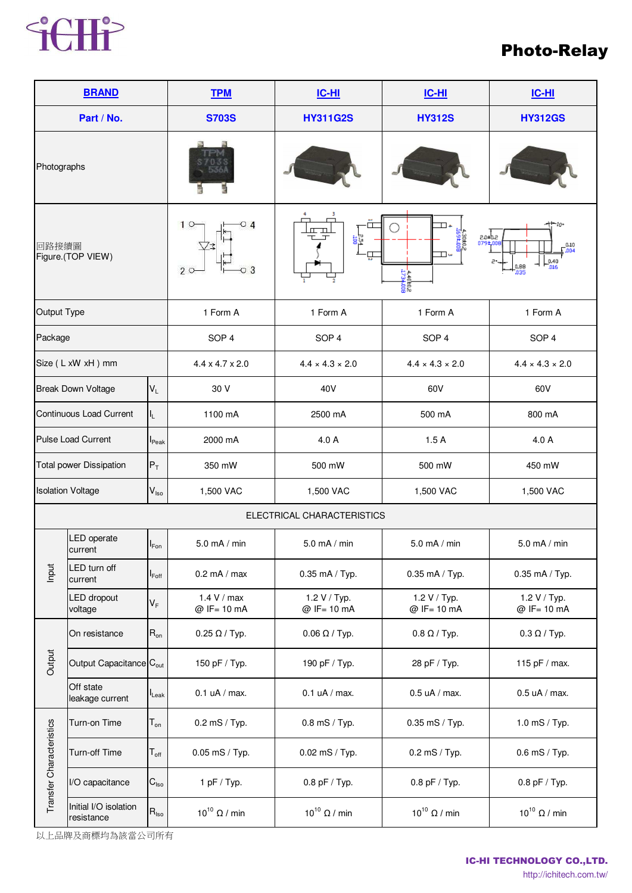

| <b>BRAND</b>               |                                     |                        | <b>TPM</b>                  | $IC-HI$                     | <b>IC-HI</b>                                               | <b>IC-HI</b>                    |
|----------------------------|-------------------------------------|------------------------|-----------------------------|-----------------------------|------------------------------------------------------------|---------------------------------|
|                            | Part / No.                          |                        | <b>S703S</b>                | <b>HY311G2S</b>             | <b>HY312S</b>                                              | <b>HY312GS</b>                  |
| Photographs                |                                     |                        |                             |                             |                                                            |                                 |
| 回路接續圖<br>Figure.(TOP VIEW) |                                     |                        | 2C                          | $\blacksquare$<br>e°g<br>□  | −∗<br>4,3010.2<br>20-02<br>079±.00<br>т.<br>핧<br>ies<br>Ba | $0.88$<br>$0.35$<br>016         |
| Output Type                |                                     |                        | 1 Form A                    | 1 Form A                    | 1 Form A                                                   | 1 Form A                        |
| Package                    |                                     |                        | SOP <sub>4</sub>            | SOP <sub>4</sub>            | SOP <sub>4</sub>                                           | SOP <sub>4</sub>                |
|                            | Size (LxW xH) mm                    |                        | $4.4 \times 4.7 \times 2.0$ | $4.4 \times 4.3 \times 2.0$ | $4.4 \times 4.3 \times 2.0$                                | $4.4 \times 4.3 \times 2.0$     |
|                            | <b>Break Down Voltage</b>           | $V_L$                  | 30 V                        | 40V                         | 60V                                                        | 60V                             |
|                            | <b>Continuous Load Current</b>      | IL.                    | 1100 mA                     | 2500 mA                     | 500 mA                                                     | 800 mA                          |
|                            | Pulse Load Current                  | $I_{Peak}$             | 2000 mA                     | 4.0A                        | 1.5A                                                       | 4.0 A                           |
|                            | <b>Total power Dissipation</b>      | $P_T$                  | 350 mW                      | 500 mW                      | 500 mW                                                     | 450 mW                          |
|                            | <b>Isolation Voltage</b>            | $V_{\text{Iso}}$       | 1,500 VAC                   | 1,500 VAC                   | 1,500 VAC                                                  | 1,500 VAC                       |
|                            |                                     |                        |                             | ELECTRICAL CHARACTERISTICS  |                                                            |                                 |
|                            | LED operate<br>current              | $I_{\text{Fon}}$       | $5.0$ mA $/$ min            | $5.0$ mA $/$ min            | $5.0$ mA $/$ min                                           | $5.0$ mA / min                  |
| Input                      | LED turn off<br>current             | $I_{\text{Foff}}$      | $0.2$ mA $/$ max            | 0.35 mA / Typ.              | 0.35 mA / Typ.                                             | $0.35$ mA / Typ.                |
|                            | LED dropout<br>voltage              | $V_F$                  | 1.4 V/max<br>@ IF= 10 mA    | 1.2 V / Typ.<br>@ IF= 10 mA | 1.2 V / Typ.<br>@ IF= 10 mA                                | $1.2 V / Type$ .<br>@ IF= 10 mA |
|                            | On resistance                       | $R_{on}$               | $0.25 \Omega /$ Typ.        | $0.06 \Omega /$ Typ.        | $0.8 \Omega /$ Typ.                                        | $0.3 \Omega /$ Typ.             |
| Output                     | Output Capacitance C <sub>out</sub> |                        | 150 pF / Typ.               | 190 pF / Typ.               | 28 pF / Typ.                                               | 115 pF / max.                   |
|                            | Off state<br>leakage current        | $I_{\text{L}eak}$      | $0.1 uA/max$ .              | $0.1 uA/max$ .              | 0.5 uA / max.                                              | 0.5 uA / max.                   |
|                            | Turn-on Time                        | $T_{on}$               | $0.2$ mS / Typ.             | $0.8$ mS / Typ.             | 0.35 mS / Typ.                                             | 1.0 mS / Typ.                   |
| Transfer Characteristics   | Turn-off Time                       | $T_{\text{off}}$       | 0.05 mS / Typ.              | 0.02 mS / Typ.              | $0.2$ mS / Typ.                                            | 0.6 mS / Typ.                   |
|                            | I/O capacitance                     | $\mathrm{C_{\rm lso}}$ | $1$ pF / Typ.               | $0.8$ pF / Typ.             | $0.8$ pF / Typ.                                            | $0.8$ pF / Typ.                 |
|                            | Initial I/O isolation<br>resistance | $R_{\rm lso}$          | $10^{10}$ $\Omega$ / min    | $10^{10}$ $\Omega$ / min    | $10^{10}$ $\Omega$ / min                                   | $10^{10}$ $\Omega$ / min        |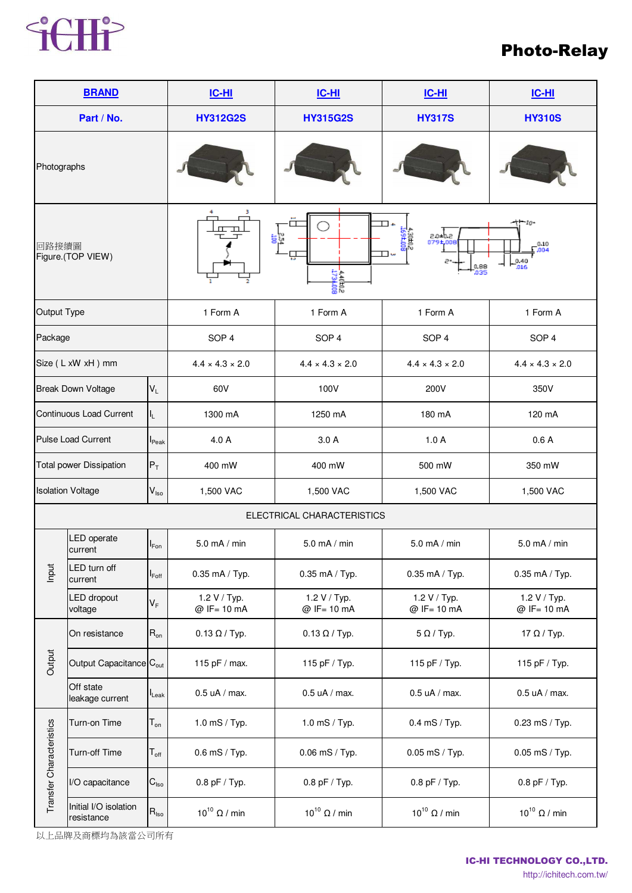

| <b>BRAND</b>               |                                                | <b>IC-HI</b>                | $IC-HI$                     | $IC-HI$                     | <b>IC-HI</b>                                      |                                          |  |
|----------------------------|------------------------------------------------|-----------------------------|-----------------------------|-----------------------------|---------------------------------------------------|------------------------------------------|--|
| Part / No.                 |                                                |                             | <b>HY312G2S</b>             | <b>HY315G2S</b>             | <b>HY317S</b>                                     | <b>HY310S</b>                            |  |
| Photographs                |                                                |                             |                             |                             |                                                   |                                          |  |
| 回路接續圖<br>Figure.(TOP VIEW) |                                                |                             | з                           | ឆ្នាំ<br>딗<br>8001624T      | ⊥∗<br>1.30102<br>20±0.2<br>079±,008<br>Τω<br>0.88 | $\frac{0.10}{0.004}$<br>$0.40$<br>$.016$ |  |
| Output Type                |                                                |                             | 1 Form A                    | 1 Form A                    | 1 Form A                                          | 1 Form A                                 |  |
| Package                    |                                                |                             | SOP <sub>4</sub>            | SOP <sub>4</sub>            | SOP <sub>4</sub>                                  | SOP <sub>4</sub>                         |  |
|                            | Size (LxW xH) mm                               |                             | $4.4 \times 4.3 \times 2.0$ | $4.4 \times 4.3 \times 2.0$ | $4.4 \times 4.3 \times 2.0$                       | $4.4 \times 4.3 \times 2.0$              |  |
|                            | <b>Break Down Voltage</b>                      | $V_L$                       | 60V                         | 100V                        | 200V                                              | 350V                                     |  |
|                            | Continuous Load Current                        | $\mathsf{I}_{\mathsf{L}}$   | 1300 mA                     | 1250 mA                     | 180 mA                                            | 120 mA                                   |  |
|                            | <b>Pulse Load Current</b><br>I <sub>Peak</sub> |                             | 4.0 A                       | 3.0A                        | 1.0A                                              | 0.6A                                     |  |
|                            | <b>Total power Dissipation</b>                 | $P_T$                       | 400 mW                      | 400 mW                      | 500 mW                                            | 350 mW                                   |  |
|                            | $V_{\text{Iso}}$<br><b>Isolation Voltage</b>   |                             | 1,500 VAC                   | 1,500 VAC                   | 1,500 VAC                                         | 1,500 VAC                                |  |
|                            |                                                |                             | ELECTRICAL CHARACTERISTICS  |                             |                                                   |                                          |  |
|                            | LED operate<br>current                         | $I_{\text{Fon}}$            | $5.0$ mA $/$ min            | $5.0$ mA $/$ min            | $5.0$ mA $/$ min                                  | 5.0 mA $/$ min                           |  |
| Input                      | LED turn off<br>current                        | $I_{\text{Foff}}$           | $0.35$ mA / Typ.            | 0.35 mA / Typ.              | 0.35 mA / Typ.                                    | 0.35 mA / Typ.                           |  |
|                            | LED dropout<br>voltage                         | $\mathsf{V}_\mathsf{F}$     | 1.2 V / Typ.<br>@ IF= 10 mA | 1.2 V / Typ.<br>@ IF= 10 mA | 1.2 V / Typ.<br>@ IF= 10 mA                       | 1.2 V / Typ.<br>@ IF= 10 mA              |  |
|                            | On resistance                                  | $R_{on}$                    | $0.13 \Omega /$ Typ.        | $0.13 \Omega /$ Typ.        | $5 \Omega / Type$ .                               | 17 $\Omega$ / Typ.                       |  |
| Output                     | Output Capacitance C <sub>out</sub>            |                             | 115 pF / max.               | 115 pF / Typ.               | 115 pF / Typ.                                     | 115 pF / Typ.                            |  |
|                            | Off state<br>leakage current                   | $I_{\text{Leak}}$           | $0.5$ uA $/$ max.           | $0.5$ uA $/$ max.           | $0.5$ uA $/$ max.                                 | 0.5 uA / max.                            |  |
|                            | Turn-on Time                                   | $T_{on}$                    | 1.0 mS / Typ.               | 1.0 mS / Typ.               | $0.4$ mS / Typ.                                   | 0.23 mS / Typ.                           |  |
| Transfer Characteristics   | Turn-off Time                                  | $T_{\text{off}}$            | 0.6 mS / Typ.               | 0.06 mS / Typ.              | $0.05$ mS / Typ.                                  | 0.05 mS / Typ.                           |  |
|                            | I/O capacitance                                | C <sub>lso</sub>            | 0.8 pF / Typ.               | 0.8 pF / Typ.               | $0.8$ pF / Typ.                                   | $0.8$ pF / Typ.                          |  |
|                            | Initial I/O isolation<br>resistance            | $\mathsf{R}_{\mathsf{Iso}}$ | $10^{10}$ $\Omega$ / min    | $10^{10}$ $\Omega$ / min    | $10^{10}$ $\Omega$ / min                          | $10^{10}$ $\Omega$ / min                 |  |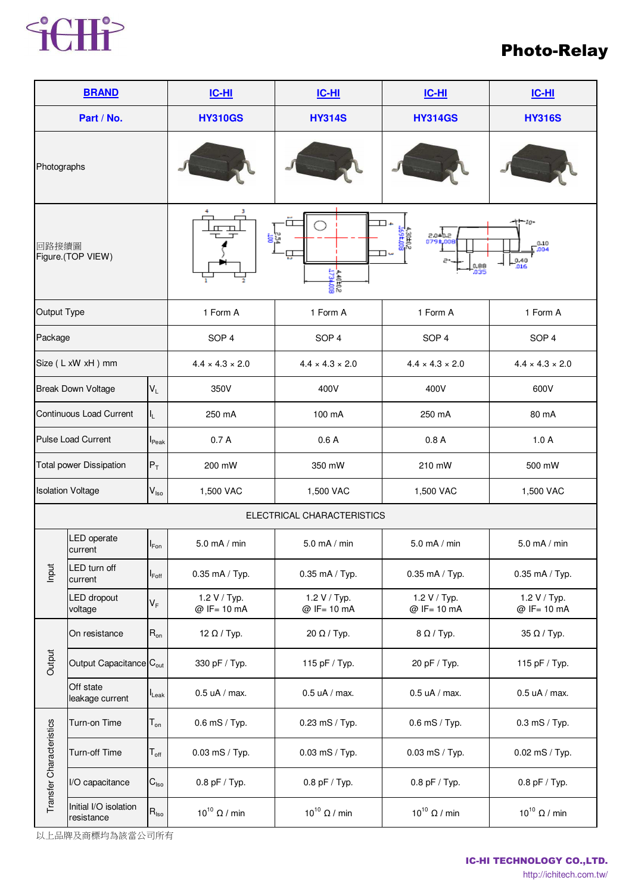

| <b>BRAND</b>               |                                     |                        | $IC-HI$                     | $IC-HI$                         | <b>IC-HI</b>                                            | <b>IC-HI</b>                |
|----------------------------|-------------------------------------|------------------------|-----------------------------|---------------------------------|---------------------------------------------------------|-----------------------------|
| Part / No.                 |                                     |                        | <b>HY310GS</b>              | <b>HY314S</b>                   | <b>HY314GS</b>                                          | <b>HY316S</b>               |
| Photographs                |                                     |                        |                             |                                 |                                                         |                             |
| 回路接續圖<br>Figure.(TOP VIEW) |                                     |                        | ទីប្តី                      | 됴<br>800'#EZT                   | $20 - 0.2$<br>30.02<br>S91.00R<br>079±,00<br>⊥∽<br>0.88 | 0.10<br>.016                |
| Output Type                |                                     |                        | 1 Form A                    | 1 Form A                        | 1 Form A                                                | 1 Form A                    |
| Package                    |                                     |                        | SOP <sub>4</sub>            | SOP <sub>4</sub>                | SOP <sub>4</sub>                                        | SOP <sub>4</sub>            |
|                            | Size (LxW xH) mm                    |                        | $4.4 \times 4.3 \times 2.0$ | $4.4 \times 4.3 \times 2.0$     | $4.4 \times 4.3 \times 2.0$                             | $4.4 \times 4.3 \times 2.0$ |
|                            | <b>Break Down Voltage</b>           | $V_L$                  | 350V                        | 400V                            | 400V                                                    | 600V                        |
|                            | <b>Continuous Load Current</b>      | IL.                    | 250 mA                      | 100 mA                          | 250 mA                                                  | 80 mA                       |
|                            | Pulse Load Current                  | $I_{Peak}$             | 0.7A                        | 0.6A                            | 0.8A                                                    | 1.0A                        |
|                            | <b>Total power Dissipation</b>      | $P_T$                  | 200 mW                      | 350 mW                          | 210 mW                                                  | 500 mW                      |
|                            | <b>Isolation Voltage</b>            | $V_{\text{Iso}}$       | 1,500 VAC                   | 1,500 VAC                       | 1,500 VAC                                               | 1,500 VAC                   |
|                            |                                     |                        |                             | ELECTRICAL CHARACTERISTICS      |                                                         |                             |
|                            | LED operate<br>current              | $I_{\text{Fon}}$       | $5.0$ mA $/$ min            | $5.0$ mA $/$ min                | $5.0$ mA $/$ min                                        | $5.0$ mA / min              |
| Input                      | LED turn off<br>current             | $I_{\text{Foff}}$      | 0.35 mA / Typ.              | 0.35 mA / Typ.                  | 0.35 mA / Typ.                                          | $0.35$ mA / Typ.            |
|                            | LED dropout<br>voltage              | $V_F$                  | 1.2 V / Typ.<br>@ IF= 10 mA | $1.2 V / Type$ .<br>@ IF= 10 mA | 1.2 V / Typ.<br>@ IF= 10 mA                             | 1.2 V / Typ.<br>@ IF= 10 mA |
|                            | On resistance                       | $R_{on}$               | 12 $\Omega$ / Typ.          | 20 $\Omega$ / Typ.              | $8 \Omega / Type$ .                                     | $35 \Omega /$ Typ.          |
| Output                     | Output Capacitance C <sub>out</sub> |                        | 330 pF / Typ.               | 115 pF / Typ.                   | 20 pF / Typ.                                            | 115 pF / Typ.               |
|                            | Off state<br>leakage current        | $I_{\text{L}eak}$      | $0.5$ uA $/$ max.           | 0.5 uA / max.                   | 0.5 uA / max.                                           | 0.5 uA / max.               |
|                            | Turn-on Time                        | $T_{on}$               | $0.6$ mS / Typ.             | 0.23 mS / Typ.                  | $0.6$ mS / Typ.                                         | 0.3 mS / Typ.               |
|                            | Turn-off Time                       | $T_{\text{off}}$       | 0.03 mS / Typ.              | 0.03 mS / Typ.                  | 0.03 mS / Typ.                                          | 0.02 mS / Typ.              |
| Transfer Characteristics   | I/O capacitance                     | $\mathrm{C_{\rm lso}}$ | $0.8$ pF / Typ.             | $0.8$ pF / Typ.                 | $0.8$ pF / Typ.                                         | $0.8$ pF / Typ.             |
|                            | Initial I/O isolation<br>resistance | $R_{\rm lso}$          | $10^{10}$ $\Omega$ / min    | $10^{10}$ $\Omega$ / min        | $10^{10}$ $\Omega$ / min                                | $10^{10}$ $\Omega$ / min    |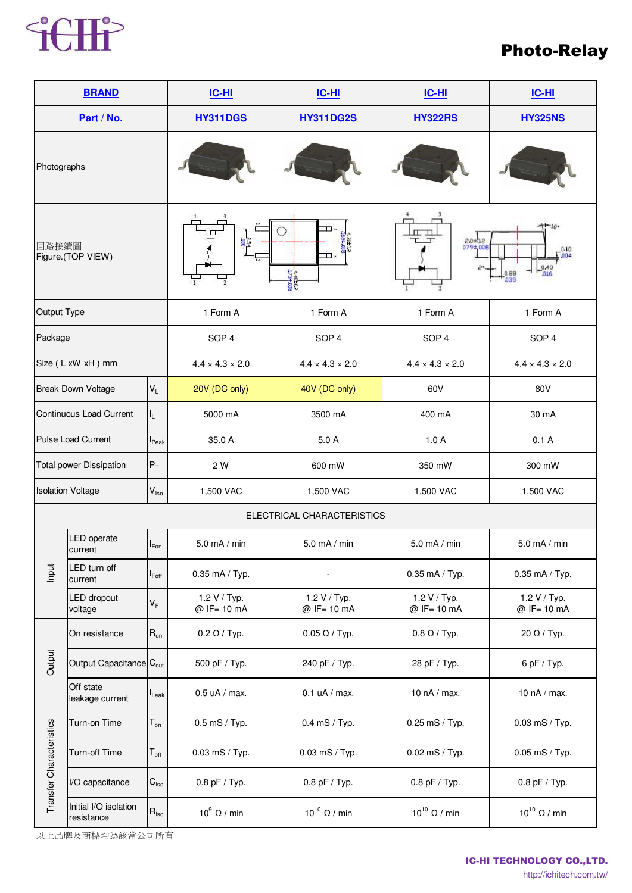

| <b>BRAND</b>               |                                                | $IC-HI$                     | $IC-HI$                      | $IC-HI$                         | $IC-HI$                         |                              |  |  |
|----------------------------|------------------------------------------------|-----------------------------|------------------------------|---------------------------------|---------------------------------|------------------------------|--|--|
| Part / No.                 |                                                |                             | <b>HY311DGS</b>              | <b>HY311DG2S</b>                | <b>HY322RS</b>                  | <b>HY325NS</b>               |  |  |
| Photographs                |                                                |                             |                              |                                 |                                 |                              |  |  |
| 回路接續圖<br>Figure.(TOP VIEW) |                                                |                             | ge<br>S<br>$\overline{\Box}$ | $\Box$ w<br><b>BOOTELT</b>      | 2.040.2<br>0791,008             | 20.<br>$0.40$<br>016<br>0.88 |  |  |
| Output Type                |                                                |                             | 1 Form A                     | 1 Form A                        | 1 Form A                        | 1 Form A                     |  |  |
| Package                    |                                                |                             | SOP <sub>4</sub>             | SOP <sub>4</sub>                | SOP <sub>4</sub>                | SOP <sub>4</sub>             |  |  |
|                            | Size (LxW xH) mm                               |                             | $4.4 \times 4.3 \times 2.0$  | $4.4 \times 4.3 \times 2.0$     | $4.4 \times 4.3 \times 2.0$     | $4.4 \times 4.3 \times 2.0$  |  |  |
|                            | <b>Break Down Voltage</b>                      | $V_L$                       | 20V (DC only)                | 40V (DC only)                   | 60V                             | 80V                          |  |  |
|                            | Continuous Load Current                        | IL.                         | 5000 mA                      | 3500 mA                         | 400 mA                          | 30 mA                        |  |  |
|                            | <b>Pulse Load Current</b><br>I <sub>Peak</sub> |                             | 35.0 A                       | 5.0A                            | 1.0A                            | 0.1A                         |  |  |
|                            | <b>Total power Dissipation</b>                 | $P_T$                       | 2 W                          | 600 mW                          | 350 mW                          | 300 mW                       |  |  |
|                            | <b>Isolation Voltage</b>                       | $V_{\rm lso}$               | 1,500 VAC                    | 1,500 VAC                       | 1,500 VAC                       | 1,500 VAC                    |  |  |
|                            |                                                |                             |                              | ELECTRICAL CHARACTERISTICS      |                                 |                              |  |  |
|                            | LED operate<br>current                         | $I_{\text{Fon}}$            | $5.0$ mA $/$ min             | $5.0$ mA $/$ min                | $5.0$ mA / min                  | 5.0 mA / min                 |  |  |
| Input                      | LED turn off<br>current                        | $I_{\text{Foff}}$           | 0.35 mA / Typ.               |                                 | 0.35 mA / Typ.                  | 0.35 mA / Typ.               |  |  |
|                            | <b>LED</b> dropout<br>voltage                  | $\mathsf{V}_\mathsf{F}$     | 1.2 V / Typ.<br>@ IF= 10 mA  | $1.2 V / Type$ .<br>@ IF= 10 mA | $1.2 V / Type$ .<br>@ IF= 10 mA | 1.2 V / Typ.<br>@ IF= 10 mA  |  |  |
|                            | On resistance                                  | $R_{on}$                    | $0.2 \Omega /$ Typ.          | $0.05 \Omega /$ Typ.            | $0.8 \Omega /$ Typ.             | 20 $\Omega$ / Typ.           |  |  |
| Output                     | Output Capacitance C <sub>out</sub>            |                             | 500 pF / Typ.                | 240 pF / Typ.                   | 28 pF / Typ.                    | $6$ pF / Typ.                |  |  |
|                            | Off state<br>leakage current                   | $I_{\text{Leak}}$           | $0.5$ uA $/$ max.            | $0.1 uA/max$ .                  | 10 $nA/max$ .                   | 10 $nA/max$ .                |  |  |
|                            | Turn-on Time                                   | $T_{\text{on}}$             | $0.5$ mS / Typ.              | $0.4$ mS / Typ.                 | 0.25 mS / Typ.                  | 0.03 mS / Typ.               |  |  |
| Transfer Characteristics   | Turn-off Time                                  | $T_{\text{off}}$            | 0.03 mS / Typ.               | 0.03 mS / Typ.                  | 0.02 mS / Typ.                  | 0.05 mS / Typ.               |  |  |
|                            | I/O capacitance                                | C <sub>lso</sub>            | $0.8$ pF / Typ.              | 0.8 pF / Typ.                   | $0.8$ pF / Typ.                 | $0.8$ pF / Typ.              |  |  |
|                            | Initial I/O isolation<br>resistance            | $\mathsf{R}_{\mathsf{Iso}}$ | $10^9$ $\Omega$ / min        | $10^{10}$ $\Omega$ / min        | $10^{10}$ $\Omega$ / min        | $10^{10}$ $\Omega$ / min     |  |  |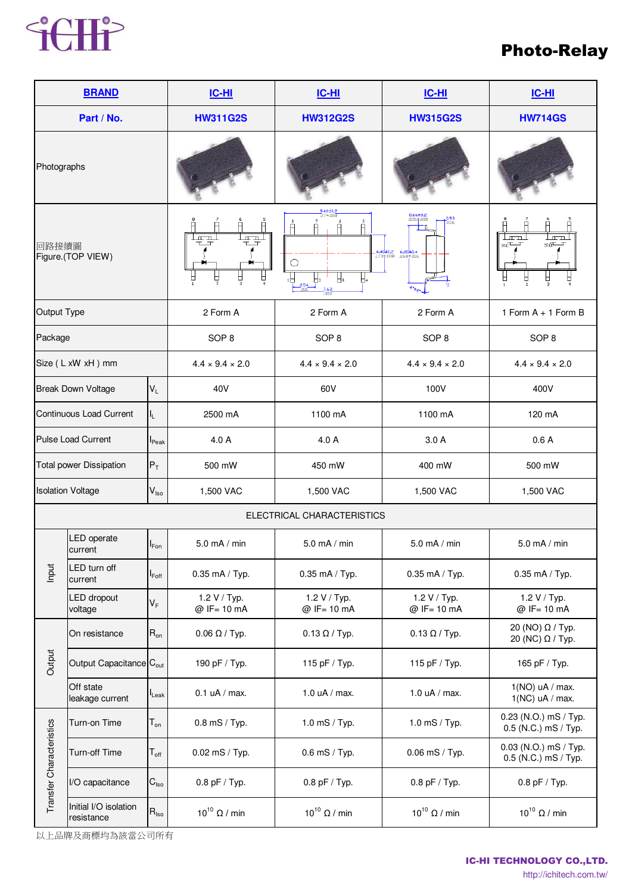

| <b>BRAND</b>               |                                                | $IC-HI$           | $IC-HI$                         | $IC-HI$                                             | $IC-HI$                                                                    |                                               |  |
|----------------------------|------------------------------------------------|-------------------|---------------------------------|-----------------------------------------------------|----------------------------------------------------------------------------|-----------------------------------------------|--|
| Part / No.                 |                                                |                   | <b>HW311G2S</b>                 | <b>HW312G2S</b>                                     | <b>HW315G2S</b>                                                            | <b>HW714GS</b>                                |  |
| Photographs                |                                                |                   |                                 |                                                     |                                                                            |                                               |  |
| 回路接續圖<br>Figure.(TOP VIEW) |                                                |                   | 干手<br>ᅟᅭ                        | Å<br>Å<br>Å<br>A<br>C<br>$\mathsf{H}_2$<br>Η,<br>H4 | 0.66±0.2<br>126±.001<br>5.0±0,4 _<br>173‡.008<br>$6.80 \pm 0.4$<br>268±016 | لمحسله<br>لمحمدا<br>$_{\text{N.C}}$<br>N.O    |  |
| Output Type                |                                                |                   | 2 Form A                        | 2 Form A                                            | 2 Form A                                                                   | 1 Form $A + 1$ Form B                         |  |
| Package                    |                                                |                   | SOP <sub>8</sub>                | SOP <sub>8</sub>                                    | SOP <sub>8</sub>                                                           | SOP <sub>8</sub>                              |  |
|                            | Size (LxW xH) mm                               |                   | $4.4 \times 9.4 \times 2.0$     | $4.4 \times 9.4 \times 2.0$                         | $4.4 \times 9.4 \times 2.0$                                                | $4.4 \times 9.4 \times 2.0$                   |  |
|                            | <b>Break Down Voltage</b>                      | $V_L$             | 40V                             | 60V                                                 | 100V                                                                       | 400V                                          |  |
|                            | <b>Continuous Load Current</b>                 | IL.               | 2500 mA                         | 1100 mA                                             | 1100 mA                                                                    | 120 mA                                        |  |
|                            | <b>Pulse Load Current</b><br>I <sub>Peak</sub> |                   | 4.0 A                           | 4.0 A                                               | 3.0A                                                                       | 0.6A                                          |  |
|                            | <b>Total power Dissipation</b>                 | $P_T$             | 500 mW                          | 450 mW                                              | 400 mW                                                                     | 500 mW                                        |  |
|                            | $V_{\mathsf{Iso}}$<br><b>Isolation Voltage</b> |                   | 1,500 VAC                       | 1,500 VAC                                           | 1,500 VAC                                                                  | 1,500 VAC                                     |  |
|                            |                                                |                   | ELECTRICAL CHARACTERISTICS      |                                                     |                                                                            |                                               |  |
|                            | LED operate<br>current                         | $I_{\text{Fon}}$  | 5.0 mA $/$ min                  | 5.0 mA $/$ min                                      | $5.0$ mA $/$ min                                                           | $5.0$ mA $/$ min                              |  |
| Input                      | LED turn off<br>current                        | $I_{\text{Foff}}$ | 0.35 mA / Typ.                  | 0.35 mA / Typ.                                      | 0.35 mA / Typ.                                                             | 0.35 mA / Typ.                                |  |
|                            | <b>LED</b> dropout<br>voltage                  | $V_F$             | $1.2 V / Type$ .<br>@ IF= 10 mA | 1.2 V / Typ.<br>@ IF= 10 mA                         | 1.2 V / Typ.<br>@ IF= 10 mA                                                | 1.2 V / Typ.<br>@ IF= 10 mA                   |  |
|                            | On resistance                                  | $R_{on}$          | $0.06 \Omega /$ Typ.            | $0.13 \Omega /$ Typ.                                | $0.13 \Omega /$ Typ.                                                       | 20 (NO) Ω / Typ.<br>20 (NC) Ω / Typ.          |  |
| Output                     | Output Capacitance C <sub>out</sub>            |                   | 190 pF / Typ.                   | 115 pF / Typ.                                       | 115 pF / Typ.                                                              | 165 pF / Typ.                                 |  |
|                            | Off state<br>leakage current                   | $I_{\text{Leak}}$ | $0.1 uA/max$ .                  | 1.0 $uA/max$ .                                      | 1.0 $uA/max$ .                                                             | $1(NO)$ uA / max.<br>$1(NC)$ uA / max.        |  |
|                            | Turn-on Time                                   | $T_{on}$          | 0.8 mS / Typ.                   | 1.0 mS / Typ.                                       | 1.0 mS / Typ.                                                              | 0.23 (N.O.) mS / Typ.<br>0.5 (N.C.) mS / Typ. |  |
| Transfer Characteristics   | Turn-off Time                                  | $T_{\text{off}}$  | 0.02 mS / Typ.                  | 0.6 mS / Typ.                                       | 0.06 mS / Typ.                                                             | 0.03 (N.O.) mS / Typ.<br>0.5 (N.C.) mS / Typ. |  |
|                            | I/O capacitance                                | C <sub>lso</sub>  | $0.8$ pF / Typ.                 | $0.8$ pF / Typ.                                     | $0.8$ pF / Typ.                                                            | 0.8 pF / Typ.                                 |  |
|                            | Initial I/O isolation<br>resistance            | $R_{\rm lso}$     | $10^{10}$ $\Omega$ / min        | $10^{10}$ $\Omega$ / min                            | $10^{10}$ $\Omega$ / min                                                   | $10^{10}$ $\Omega$ / min                      |  |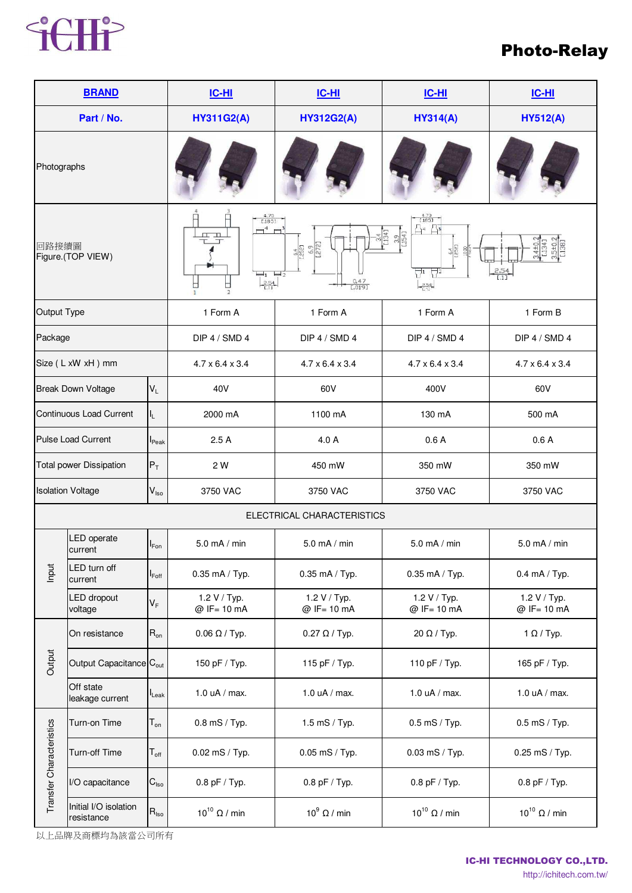

| <b>BRAND</b>                     |                                                | $IC-HI$                 | $IC-HI$                                                                                                                                                                                                                                                                                                                                                                                               | $IC-HI$                         | $IC-HI$                     |                             |  |
|----------------------------------|------------------------------------------------|-------------------------|-------------------------------------------------------------------------------------------------------------------------------------------------------------------------------------------------------------------------------------------------------------------------------------------------------------------------------------------------------------------------------------------------------|---------------------------------|-----------------------------|-----------------------------|--|
| Part / No.                       |                                                |                         | <b>HY311G2(A)</b>                                                                                                                                                                                                                                                                                                                                                                                     | <b>HY312G2(A)</b>               | <b>HY314(A)</b>             | <b>HY512(A)</b>             |  |
| Photographs                      |                                                |                         |                                                                                                                                                                                                                                                                                                                                                                                                       |                                 |                             |                             |  |
| 回路接續圖<br>Figure.(TOP VIEW)       |                                                |                         | $\frac{4.70}{L1851}$<br>$\frac{4.70}{1.185}$<br>44 43<br>$\Box^4$<br>$\frac{3.4}{11341}$<br>1.1<br>$\begin{array}{r} 3.4 \pm 0.2 \\ 1.1341 \\ 3.5 \pm 0.2 \\ 1.381 \end{array}$<br>E2/27<br>$64$<br>12521<br>$rac{64}{1850}$<br>真<br>$\frac{2.54}{1.11}$<br>$\mathcal{a}_1$<br>$\Delta_5$<br>$\frac{1}{2}$<br>$\frac{2.54}{L.11}$<br>0,47<br>$-2.54$<br>□<br>E.019]<br>$\overline{2}$<br>$\mathbf{1}$ |                                 |                             |                             |  |
| Output Type                      |                                                |                         | 1 Form A                                                                                                                                                                                                                                                                                                                                                                                              | 1 Form A                        | 1 Form A                    | 1 Form B                    |  |
| Package                          |                                                |                         | DIP 4 / SMD 4                                                                                                                                                                                                                                                                                                                                                                                         | DIP 4 / SMD 4                   | DIP 4 / SMD 4               | DIP 4 / SMD 4               |  |
|                                  | Size (LxW xH) mm                               |                         | $4.7 \times 6.4 \times 3.4$                                                                                                                                                                                                                                                                                                                                                                           | $4.7 \times 6.4 \times 3.4$     | $4.7 \times 6.4 \times 3.4$ | $4.7 \times 6.4 \times 3.4$ |  |
|                                  | <b>Break Down Voltage</b>                      | $V_L$                   | 40V                                                                                                                                                                                                                                                                                                                                                                                                   | 60V                             | 400V                        | 60V                         |  |
|                                  | Continuous Load Current                        | IL.                     | 2000 mA                                                                                                                                                                                                                                                                                                                                                                                               | 1100 mA                         | 130 mA                      | 500 mA                      |  |
|                                  | <b>Pulse Load Current</b><br>I <sub>Peak</sub> |                         | 2.5A                                                                                                                                                                                                                                                                                                                                                                                                  | 4.0 A                           | 0.6A                        | 0.6A                        |  |
| $P_T$<br>Total power Dissipation |                                                |                         | 2 W                                                                                                                                                                                                                                                                                                                                                                                                   | 450 mW                          | 350 mW                      | 350 mW                      |  |
|                                  | $V_{\rm lso}$<br><b>Isolation Voltage</b>      |                         | 3750 VAC                                                                                                                                                                                                                                                                                                                                                                                              | 3750 VAC                        | 3750 VAC                    | 3750 VAC                    |  |
|                                  |                                                |                         | ELECTRICAL CHARACTERISTICS                                                                                                                                                                                                                                                                                                                                                                            |                                 |                             |                             |  |
|                                  | LED operate<br>current                         | $I_{\text{Fon}}$        | $5.0$ mA $/$ min                                                                                                                                                                                                                                                                                                                                                                                      | 5.0 mA $/$ min                  | $5.0$ mA $/$ min            | 5.0 mA / min                |  |
| Input                            | LED turn off<br>current                        | $I_{\text{Foff}}$       | 0.35 mA / Typ.                                                                                                                                                                                                                                                                                                                                                                                        | 0.35 mA / Typ.                  | 0.35 mA / Typ.              | 0.4 mA / Typ.               |  |
|                                  | LED dropout<br>voltage                         | $\mathsf{V}_\mathsf{F}$ | 1.2 V / Typ.<br>@ IF= 10 mA                                                                                                                                                                                                                                                                                                                                                                           | $1.2 V / Type$ .<br>@ IF= 10 mA | 1.2 V / Typ.<br>@ IF= 10 mA | 1.2 V / Typ.<br>@ IF= 10 mA |  |
|                                  | On resistance                                  | $R_{on}$                | $0.06 \Omega /$ Typ.                                                                                                                                                                                                                                                                                                                                                                                  | $0.27 \Omega /$ Typ.            | 20 $\Omega$ / Typ.          | $1 \Omega / Type$ .         |  |
| Output                           | Output Capacitance C <sub>out</sub>            |                         | 150 pF / Typ.                                                                                                                                                                                                                                                                                                                                                                                         | 115 pF / Typ.                   | 110 pF / Typ.               | 165 pF / Typ.               |  |
|                                  | Off state<br>leakage current                   | $I_{\text{Leak}}$       | 1.0 $uA/max$ .                                                                                                                                                                                                                                                                                                                                                                                        | 1.0 $uA/max$ .                  | 1.0 uA / max.               | 1.0 $uA/max$ .              |  |
|                                  | Turn-on Time                                   | $T_{on}$                | 0.8 mS / Typ.                                                                                                                                                                                                                                                                                                                                                                                         | 1.5 mS / Typ.                   | $0.5$ mS / Typ.             | 0.5 mS / Typ.               |  |
| Transfer Characteristics         | Turn-off Time                                  | $T_{\text{off}}$        | 0.02 mS / Typ.                                                                                                                                                                                                                                                                                                                                                                                        | 0.05 mS / Typ.                  | 0.03 mS / Typ.              | 0.25 mS / Typ.              |  |
|                                  | I/O capacitance                                | C <sub>lso</sub>        | $0.8$ pF / Typ.                                                                                                                                                                                                                                                                                                                                                                                       | 0.8 pF / Typ.                   | $0.8$ pF / Typ.             | $0.8$ pF / Typ.             |  |
|                                  | Initial I/O isolation<br>resistance            | $R_{\rm lso}$           | $10^{10}$ $\Omega$ / min                                                                                                                                                                                                                                                                                                                                                                              | $10^9$ $\Omega$ / min           | $10^{10}$ $\Omega$ / min    | $10^{10}$ $\Omega$ / min    |  |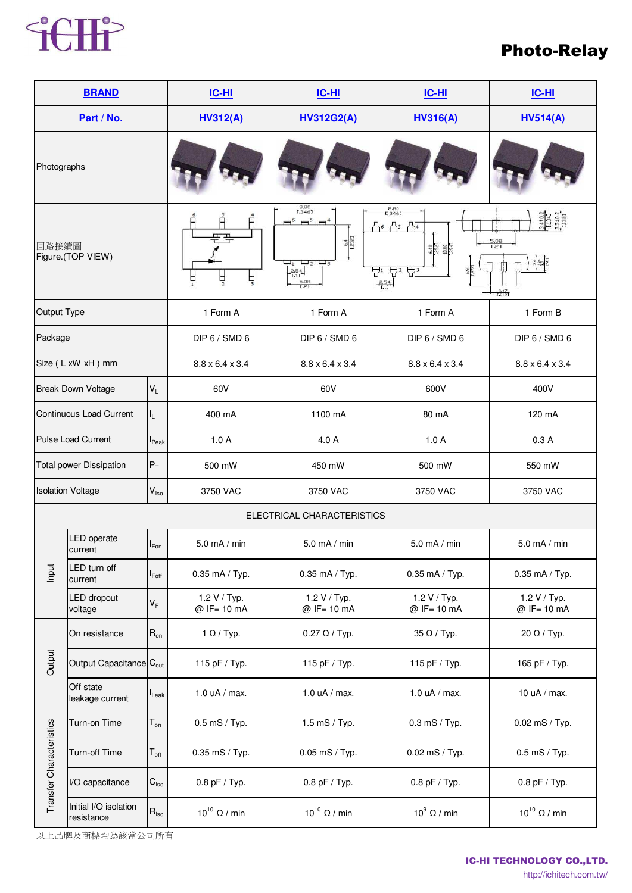

| <b>BRAND</b>               |                                     |                        | $IC-HI$                     | $IC-HI$                                                                                                                                   | <b>IC-HI</b>                                                                                                                 | $IC-HI$                                                          |
|----------------------------|-------------------------------------|------------------------|-----------------------------|-------------------------------------------------------------------------------------------------------------------------------------------|------------------------------------------------------------------------------------------------------------------------------|------------------------------------------------------------------|
| Part / No.                 |                                     |                        | <b>HV312(A)</b>             | <b>HV312G2(A)</b>                                                                                                                         | <b>HV316(A)</b>                                                                                                              | <b>HV514(A)</b>                                                  |
| Photographs                |                                     |                        |                             |                                                                                                                                           |                                                                                                                              |                                                                  |
| 回路接續圖<br>Figure.(TOP VIEW) |                                     |                        | Ĥ<br>ᄄᄪ<br>Ļ<br>ç           | $8,80$<br>$5,346$<br>$\Box^{6} \Box^{5} \Box^{4}$<br>$\sqrt{6}$<br>$rac{6.4}{6.2521}$<br>$\sqcup_2 \sqcup_3$<br>$\exists$ 1<br>$\sqrt{1}$ | 8.80<br>$\frac{\Delta s}{2}$<br>$\frac{1}{2}$<br>$rac{40}{1200}$<br>$\bigtriangledown$ <sup>3</sup><br>$\frac{1}{2}$<br>2.54 | $\frac{3402}{1341}$<br>Ŧ<br>$rac{5.08}{1.23}$<br>$0.47$<br>E0193 |
| Output Type                |                                     |                        | 1 Form A                    | 1 Form A                                                                                                                                  | 1 Form A                                                                                                                     | 1 Form B                                                         |
| Package                    |                                     |                        | DIP 6 / SMD 6               | DIP 6 / SMD 6                                                                                                                             | DIP 6 / SMD 6                                                                                                                | DIP 6 / SMD 6                                                    |
|                            | Size (LxW xH) mm                    |                        | $8.8 \times 6.4 \times 3.4$ | $8.8 \times 6.4 \times 3.4$                                                                                                               | $8.8 \times 6.4 \times 3.4$                                                                                                  | $8.8 \times 6.4 \times 3.4$                                      |
|                            | <b>Break Down Voltage</b>           | $V_L$                  | 60V                         | 60V                                                                                                                                       | 600V                                                                                                                         | 400V                                                             |
|                            | <b>Continuous Load Current</b>      | IL.                    | 400 mA                      | 1100 mA                                                                                                                                   | 80 mA                                                                                                                        | 120 mA                                                           |
|                            | Pulse Load Current                  | $I_{Peak}$             | 1.0A                        | 4.0 A                                                                                                                                     | 1.0A                                                                                                                         | 0.3A                                                             |
|                            | <b>Total power Dissipation</b>      | $P_T$                  | 500 mW                      | 450 mW                                                                                                                                    | 500 mW                                                                                                                       | 550 mW                                                           |
|                            | <b>Isolation Voltage</b>            | $V_{\text{Iso}}$       | 3750 VAC                    | 3750 VAC                                                                                                                                  | 3750 VAC                                                                                                                     | 3750 VAC                                                         |
|                            |                                     |                        |                             | ELECTRICAL CHARACTERISTICS                                                                                                                |                                                                                                                              |                                                                  |
|                            | LED operate<br>current              | $I_{\text{Fon}}$       | 5.0 mA / min                | 5.0 mA / min                                                                                                                              | $5.0$ mA $/$ min                                                                                                             | 5.0 mA / min                                                     |
| Input                      | LED turn off<br>current             | $I_{\text{Foff}}$      | 0.35 mA / Typ.              | 0.35 mA / Typ.                                                                                                                            | 0.35 mA / Typ.                                                                                                               | 0.35 mA / Typ.                                                   |
|                            | LED dropout<br>voltage              | $V_F$                  | 1.2 V / Typ.<br>@ IF= 10 mA | 1.2 V / Typ.<br>@ IF= 10 mA                                                                                                               | 1.2 V / Typ.<br>@ IF= 10 mA                                                                                                  | 1.2 V / Typ.<br>@ IF= 10 mA                                      |
|                            | On resistance                       | $R_{on}$               | $1 \Omega / Type$ .         | $0.27 \Omega /$ Typ.                                                                                                                      | $35 \Omega / Type$ .                                                                                                         | 20 $\Omega$ / Typ.                                               |
| Output                     | Output Capacitance C <sub>out</sub> |                        | 115 pF / Typ.               | 115 pF / Typ.                                                                                                                             | 115 pF / Typ.                                                                                                                | 165 pF / Typ.                                                    |
|                            | Off state<br>leakage current        | $I_{\text{L}eak}$      | 1.0 $uA/max$ .              | 1.0 $uA/max$ .                                                                                                                            | 1.0 uA / max.                                                                                                                | 10 uA / max.                                                     |
|                            | Turn-on Time                        | $T_{on}$               | $0.5$ mS / Typ.             | 1.5 mS / Typ.                                                                                                                             | $0.3$ mS / Typ.                                                                                                              | 0.02 mS / Typ.                                                   |
| Transfer Characteristics   | Turn-off Time                       | $T_{\text{off}}$       | 0.35 mS / Typ.              | 0.05 mS / Typ.                                                                                                                            | 0.02 mS / Typ.                                                                                                               | 0.5 mS / Typ.                                                    |
|                            | I/O capacitance                     | $\mathrm{C_{\rm lso}}$ | $0.8$ pF / Typ.             | $0.8$ pF / Typ.                                                                                                                           | $0.8$ pF / Typ.                                                                                                              | $0.8$ pF / Typ.                                                  |
|                            | Initial I/O isolation<br>resistance | $R_{\rm lso}$          | $10^{10}$ $\Omega$ / min    | $10^{10}$ $\Omega$ / min                                                                                                                  | $10^9$ $\Omega$ / min                                                                                                        | $10^{10}$ $\Omega$ / min                                         |